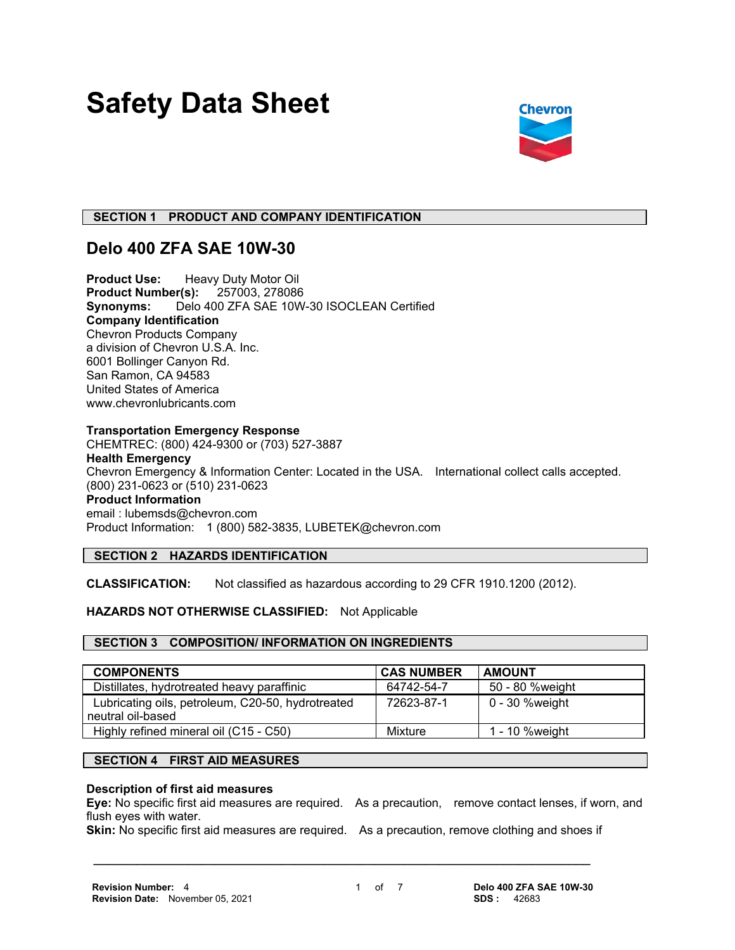# **Safety Data Sheet**



# **SECTION 1 PRODUCT AND COMPANY IDENTIFICATION**

# **Delo 400 ZFA SAE 10W-30**

**Product Use:** Heavy Duty Motor Oil<br>**Product Number(s):** 257003, 278086 **Product Number(s): Synonyms:** Delo 400 ZFA SAE 10W-30 ISOCLEAN Certified **Company Identification** Chevron Products Company a division of Chevron U.S.A. Inc. 6001 Bollinger Canyon Rd. San Ramon, CA 94583 United States of America www.chevronlubricants.com

# **Transportation Emergency Response**

CHEMTREC: (800) 424-9300 or (703) 527-3887 **Health Emergency** Chevron Emergency & Information Center: Located in the USA. International collect calls accepted. (800) 231-0623 or (510) 231-0623 **Product Information** email : lubemsds@chevron.com Product Information: 1 (800) 582-3835, LUBETEK@chevron.com

# **SECTION 2 HAZARDS IDENTIFICATION**

**CLASSIFICATION:** Not classified as hazardous according to 29 CFR 1910.1200 (2012).

# **HAZARDS NOT OTHERWISE CLASSIFIED:** Not Applicable

# **SECTION 3 COMPOSITION/ INFORMATION ON INGREDIENTS**

| <b>COMPONENTS</b>                                 | <b>CAS NUMBER</b> | <b>AMOUNT</b>   |
|---------------------------------------------------|-------------------|-----------------|
| Distillates, hydrotreated heavy paraffinic        | 64742-54-7        | 50 - 80 %weight |
| Lubricating oils, petroleum, C20-50, hydrotreated | 72623-87-1        | 0 - 30 %weight  |
| neutral oil-based                                 |                   |                 |
| Highly refined mineral oil (C15 - C50)            | Mixture           | 1 - 10 % weight |

# **SECTION 4 FIRST AID MEASURES**

#### **Description of first aid measures**

**Eye:** No specific first aid measures are required. As a precaution, remove contact lenses, if worn, and flush eyes with water.

**Skin:** No specific first aid measures are required. As a precaution, remove clothing and shoes if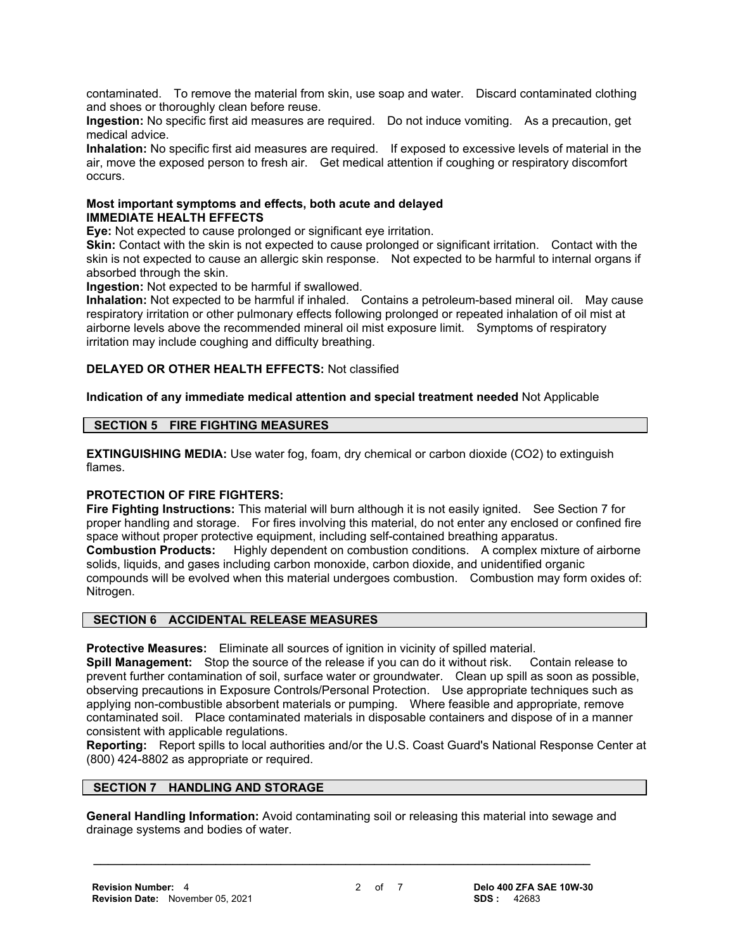contaminated. To remove the material from skin, use soap and water. Discard contaminated clothing and shoes or thoroughly clean before reuse.

**Ingestion:** No specific first aid measures are required. Do not induce vomiting. As a precaution, get medical advice.

**Inhalation:** No specific first aid measures are required. If exposed to excessive levels of material in the air, move the exposed person to fresh air. Get medical attention if coughing or respiratory discomfort occurs.

#### **Most important symptoms and effects, both acute and delayed IMMEDIATE HEALTH EFFECTS**

**Eye:** Not expected to cause prolonged or significant eye irritation.

**Skin:** Contact with the skin is not expected to cause prolonged or significant irritation. Contact with the skin is not expected to cause an allergic skin response. Not expected to be harmful to internal organs if absorbed through the skin.

**Ingestion:** Not expected to be harmful if swallowed.

**Inhalation:** Not expected to be harmful if inhaled. Contains a petroleum-based mineral oil. May cause respiratory irritation or other pulmonary effects following prolonged or repeated inhalation of oil mist at airborne levels above the recommended mineral oil mist exposure limit. Symptoms of respiratory irritation may include coughing and difficulty breathing.

# **DELAYED OR OTHER HEALTH EFFECTS:** Not classified

**Indication of any immediate medical attention and special treatment needed** Not Applicable

# **SECTION 5 FIRE FIGHTING MEASURES**

**EXTINGUISHING MEDIA:** Use water fog, foam, dry chemical or carbon dioxide (CO2) to extinguish flames.

# **PROTECTION OF FIRE FIGHTERS:**

**Fire Fighting Instructions:** This material will burn although it is not easily ignited. See Section 7 for proper handling and storage. For fires involving this material, do not enter any enclosed or confined fire space without proper protective equipment, including self-contained breathing apparatus.

**Combustion Products:** Highly dependent on combustion conditions. A complex mixture of airborne solids, liquids, and gases including carbon monoxide, carbon dioxide, and unidentified organic compounds will be evolved when this material undergoes combustion. Combustion may form oxides of: Nitrogen.

# **SECTION 6 ACCIDENTAL RELEASE MEASURES**

**Protective Measures:** Eliminate all sources of ignition in vicinity of spilled material.

**Spill Management:** Stop the source of the release if you can do it without risk. Contain release to prevent further contamination of soil, surface water or groundwater. Clean up spill as soon as possible, observing precautions in Exposure Controls/Personal Protection. Use appropriate techniques such as applying non-combustible absorbent materials or pumping. Where feasible and appropriate, remove contaminated soil. Place contaminated materials in disposable containers and dispose of in a manner consistent with applicable regulations.

**Reporting:** Report spills to local authorities and/or the U.S. Coast Guard's National Response Center at (800) 424-8802 as appropriate or required.

# **SECTION 7 HANDLING AND STORAGE**

**General Handling Information:** Avoid contaminating soil or releasing this material into sewage and drainage systems and bodies of water.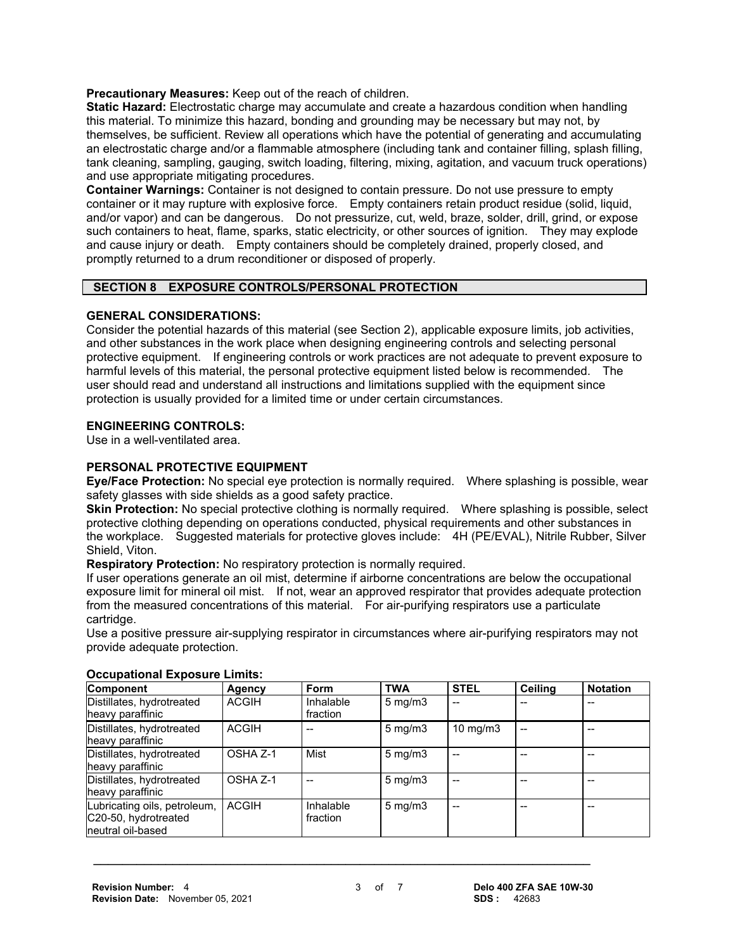**Precautionary Measures:** Keep out of the reach of children.

**Static Hazard:** Electrostatic charge may accumulate and create a hazardous condition when handling this material. To minimize this hazard, bonding and grounding may be necessary but may not, by themselves, be sufficient. Review all operations which have the potential of generating and accumulating an electrostatic charge and/or a flammable atmosphere (including tank and container filling, splash filling, tank cleaning, sampling, gauging, switch loading, filtering, mixing, agitation, and vacuum truck operations) and use appropriate mitigating procedures.

**Container Warnings:** Container is not designed to contain pressure. Do not use pressure to empty container or it may rupture with explosive force. Empty containers retain product residue (solid, liquid, and/or vapor) and can be dangerous. Do not pressurize, cut, weld, braze, solder, drill, grind, or expose such containers to heat, flame, sparks, static electricity, or other sources of ignition. They may explode and cause injury or death. Empty containers should be completely drained, properly closed, and promptly returned to a drum reconditioner or disposed of properly.

#### **SECTION 8 EXPOSURE CONTROLS/PERSONAL PROTECTION**

# **GENERAL CONSIDERATIONS:**

Consider the potential hazards of this material (see Section 2), applicable exposure limits, job activities, and other substances in the work place when designing engineering controls and selecting personal protective equipment. If engineering controls or work practices are not adequate to prevent exposure to harmful levels of this material, the personal protective equipment listed below is recommended. The user should read and understand all instructions and limitations supplied with the equipment since protection is usually provided for a limited time or under certain circumstances.

# **ENGINEERING CONTROLS:**

Use in a well-ventilated area.

# **PERSONAL PROTECTIVE EQUIPMENT**

**Eye/Face Protection:** No special eye protection is normally required. Where splashing is possible, wear safety glasses with side shields as a good safety practice.

**Skin Protection:** No special protective clothing is normally required. Where splashing is possible, select protective clothing depending on operations conducted, physical requirements and other substances in the workplace. Suggested materials for protective gloves include: 4H (PE/EVAL), Nitrile Rubber, Silver Shield, Viton.

**Respiratory Protection:** No respiratory protection is normally required.

If user operations generate an oil mist, determine if airborne concentrations are below the occupational exposure limit for mineral oil mist. If not, wear an approved respirator that provides adequate protection from the measured concentrations of this material. For air-purifying respirators use a particulate cartridge.

Use a positive pressure air-supplying respirator in circumstances where air-purifying respirators may not provide adequate protection.

| <b>Component</b>                                                          | Agency       | Form                  | <b>TWA</b>         | <b>STEL</b>   | Ceiling | <b>Notation</b> |
|---------------------------------------------------------------------------|--------------|-----------------------|--------------------|---------------|---------|-----------------|
| Distillates, hydrotreated<br>heavy paraffinic                             | <b>ACGIH</b> | Inhalable<br>fraction | $5 \text{ mg/m}$ 3 |               |         |                 |
| Distillates, hydrotreated<br>heavy paraffinic                             | <b>ACGIH</b> |                       | $5 \text{ mg/m}$   | $10$ mg/m $3$ |         |                 |
| Distillates, hydrotreated<br>heavy paraffinic                             | OSHA Z-1     | Mist                  | $5 \text{ mg/m}$   |               |         |                 |
| Distillates, hydrotreated<br>heavy paraffinic                             | OSHA Z-1     |                       | $5 \text{ mg/m}$   |               |         |                 |
| Lubricating oils, petroleum,<br>C20-50, hydrotreated<br>neutral oil-based | <b>ACGIH</b> | Inhalable<br>fraction | $5 \text{ mg/m}$ 3 |               |         |                 |

#### **Occupational Exposure Limits:**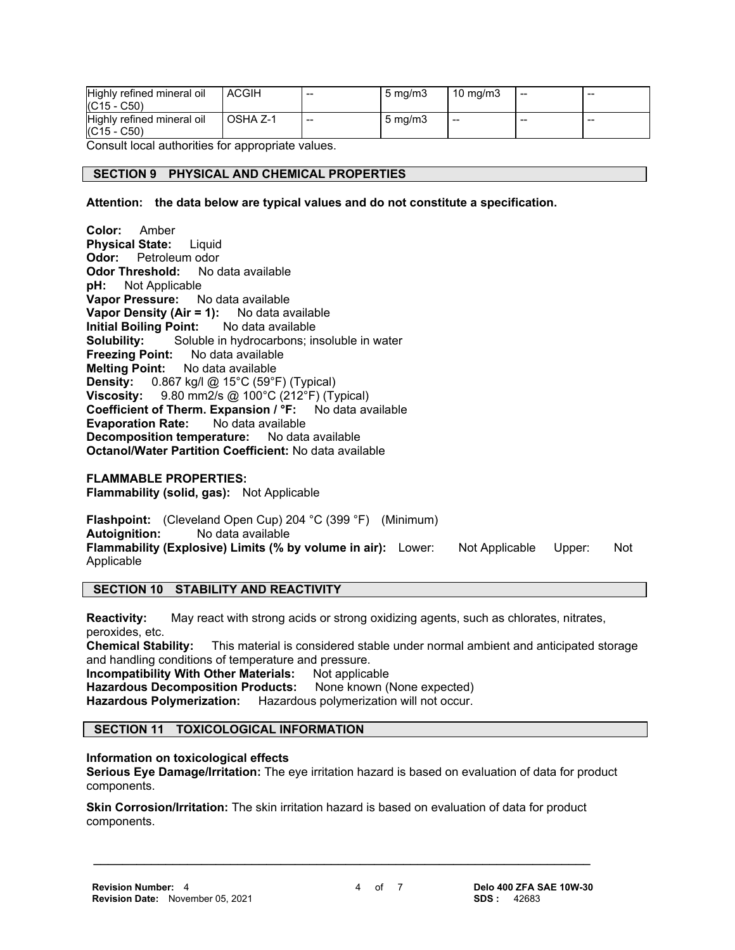| Highly refined mineral oil<br>$(C15 - C50)$ | <b>ACGIH</b> | $-$   | $5 \text{ mg/m}$   | $10 \text{ mg/m}$ | $- -$ | $- -$ |
|---------------------------------------------|--------------|-------|--------------------|-------------------|-------|-------|
| Highly refined mineral oil<br>$(C15 - C50)$ | OSHA Z-1     | $- -$ | $5 \text{ ma/m}$ 3 | --                | --    | $- -$ |

Consult local authorities for appropriate values.

## **SECTION 9 PHYSICAL AND CHEMICAL PROPERTIES**

**Attention: the data below are typical values and do not constitute a specification.**

**Color:** Amber **Physical State:** Liquid **Odor:** Petroleum odor **Odor Threshold:** No data available<br>**pH:** Not Applicable **Not Applicable Vapor Pressure:** No data available **Vapor Density (Air = 1):** No data available **Initial Boiling Point:** No data available **Solubility:** Soluble in hydrocarbons; insoluble in water **Freezing Point:** No data available **Melting Point:** No data available **Density:** 0.867 kg/l @ 15°C (59°F) (Typical) **Viscosity:** 9.80 mm2/s @ 100°C (212°F) (Typical) **Coefficient of Therm. Expansion / °F:** No data available **Evaporation Rate:** No data available **Decomposition temperature:** No data available **Octanol/Water Partition Coefficient:** No data available **FLAMMABLE PROPERTIES: Flammability (solid, gas):** Not Applicable

**Flashpoint:** (Cleveland Open Cup) 204 °C (399 °F) (Minimum) **Autoignition:** No data available **Flammability (Explosive) Limits (% by volume in air):** Lower: Not Applicable Upper: Not Applicable

### **SECTION 10 STABILITY AND REACTIVITY**

**Reactivity:** May react with strong acids or strong oxidizing agents, such as chlorates, nitrates, peroxides, etc.

**Chemical Stability:** This material is considered stable under normal ambient and anticipated storage and handling conditions of temperature and pressure.

**Incompatibility With Other Materials:** Not applicable **Hazardous Decomposition Products:** None known (None expected) **Hazardous Polymerization:** Hazardous polymerization will not occur.

#### **SECTION 11 TOXICOLOGICAL INFORMATION**

#### **Information on toxicological effects**

**Serious Eye Damage/Irritation:** The eye irritation hazard is based on evaluation of data for product components.

**Skin Corrosion/Irritation:** The skin irritation hazard is based on evaluation of data for product components.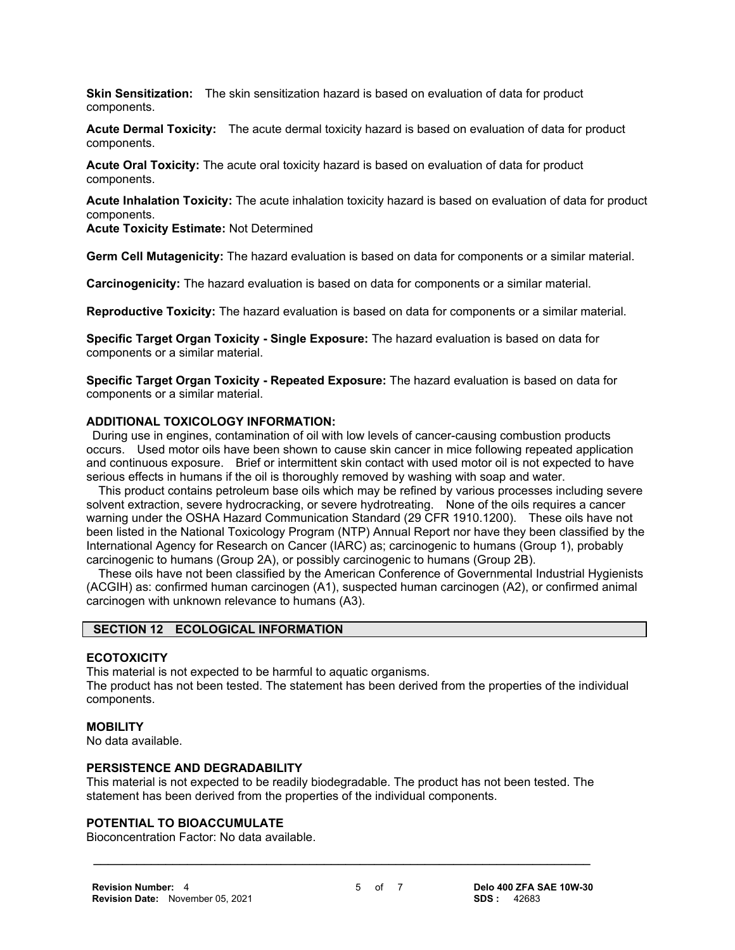**Skin Sensitization:** The skin sensitization hazard is based on evaluation of data for product components.

**Acute Dermal Toxicity:** The acute dermal toxicity hazard is based on evaluation of data for product components.

**Acute Oral Toxicity:** The acute oral toxicity hazard is based on evaluation of data for product components.

**Acute Inhalation Toxicity:** The acute inhalation toxicity hazard is based on evaluation of data for product components.

**Acute Toxicity Estimate:** Not Determined

**Germ Cell Mutagenicity:** The hazard evaluation is based on data for components or a similar material.

**Carcinogenicity:** The hazard evaluation is based on data for components or a similar material.

**Reproductive Toxicity:** The hazard evaluation is based on data for components or a similar material.

**Specific Target Organ Toxicity - Single Exposure:** The hazard evaluation is based on data for components or a similar material.

**Specific Target Organ Toxicity - Repeated Exposure:** The hazard evaluation is based on data for components or a similar material.

#### **ADDITIONAL TOXICOLOGY INFORMATION:**

 During use in engines, contamination of oil with low levels of cancer-causing combustion products occurs. Used motor oils have been shown to cause skin cancer in mice following repeated application and continuous exposure. Brief or intermittent skin contact with used motor oil is not expected to have serious effects in humans if the oil is thoroughly removed by washing with soap and water.

 This product contains petroleum base oils which may be refined by various processes including severe solvent extraction, severe hydrocracking, or severe hydrotreating. None of the oils requires a cancer warning under the OSHA Hazard Communication Standard (29 CFR 1910.1200). These oils have not been listed in the National Toxicology Program (NTP) Annual Report nor have they been classified by the International Agency for Research on Cancer (IARC) as; carcinogenic to humans (Group 1), probably carcinogenic to humans (Group 2A), or possibly carcinogenic to humans (Group 2B).

 These oils have not been classified by the American Conference of Governmental Industrial Hygienists (ACGIH) as: confirmed human carcinogen (A1), suspected human carcinogen (A2), or confirmed animal carcinogen with unknown relevance to humans (A3).

# **SECTION 12 ECOLOGICAL INFORMATION**

#### **ECOTOXICITY**

This material is not expected to be harmful to aquatic organisms.

The product has not been tested. The statement has been derived from the properties of the individual components.

#### **MOBILITY**

No data available.

#### **PERSISTENCE AND DEGRADABILITY**

This material is not expected to be readily biodegradable. The product has not been tested. The statement has been derived from the properties of the individual components.

 **\_\_\_\_\_\_\_\_\_\_\_\_\_\_\_\_\_\_\_\_\_\_\_\_\_\_\_\_\_\_\_\_\_\_\_\_\_\_\_\_\_\_\_\_\_\_\_\_\_\_\_\_\_\_\_\_\_\_\_\_\_\_\_\_\_\_\_\_\_**

#### **POTENTIAL TO BIOACCUMULATE**

Bioconcentration Factor: No data available.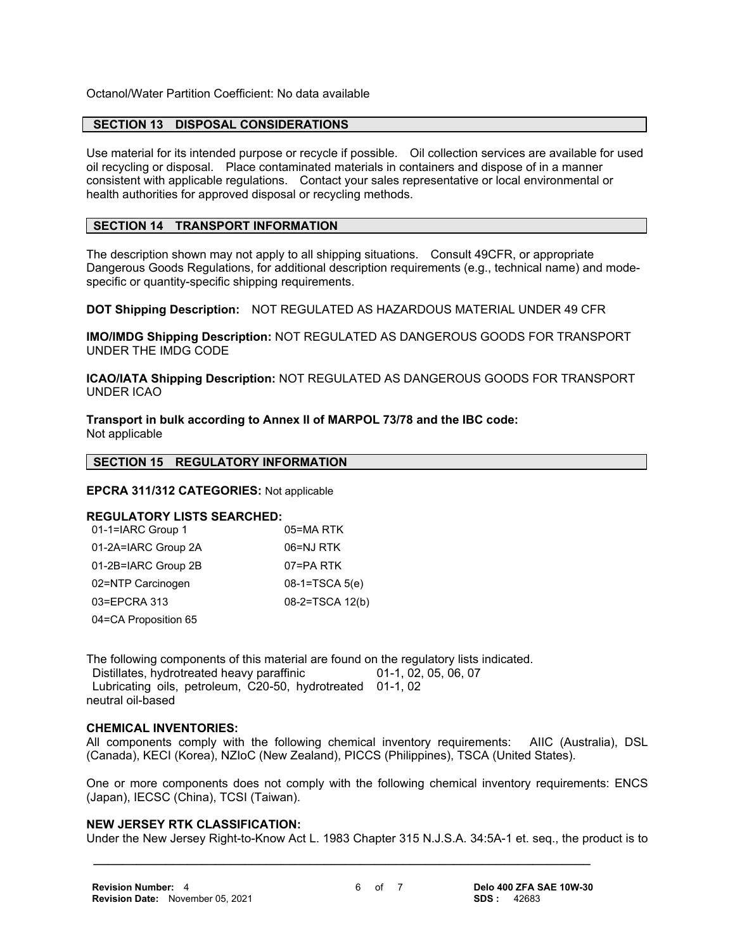Octanol/Water Partition Coefficient: No data available

#### **SECTION 13 DISPOSAL CONSIDERATIONS**

Use material for its intended purpose or recycle if possible. Oil collection services are available for used oil recycling or disposal. Place contaminated materials in containers and dispose of in a manner consistent with applicable regulations. Contact your sales representative or local environmental or health authorities for approved disposal or recycling methods.

#### **SECTION 14 TRANSPORT INFORMATION**

The description shown may not apply to all shipping situations. Consult 49CFR, or appropriate Dangerous Goods Regulations, for additional description requirements (e.g., technical name) and modespecific or quantity-specific shipping requirements.

**DOT Shipping Description:** NOT REGULATED AS HAZARDOUS MATERIAL UNDER 49 CFR

**IMO/IMDG Shipping Description:** NOT REGULATED AS DANGEROUS GOODS FOR TRANSPORT UNDER THE IMDG CODE

**ICAO/IATA Shipping Description:** NOT REGULATED AS DANGEROUS GOODS FOR TRANSPORT UNDER ICAO

**Transport in bulk according to Annex II of MARPOL 73/78 and the IBC code:** Not applicable

# **SECTION 15 REGULATORY INFORMATION**

#### **EPCRA 311/312 CATEGORIES:** Not applicable

#### **REGULATORY LISTS SEARCHED:**

| 01-1=IARC Group 1    | 05=MA RTK        |
|----------------------|------------------|
| 01-2A=IARC Group 2A  | 06=NJ RTK        |
| 01-2B=IARC Group 2B  | 07=PA RTK        |
| 02=NTP Carcinogen    | $08-1=TSCA 5(e)$ |
| 03=EPCRA 313         | 08-2=TSCA 12(b)  |
| 04=CA Proposition 65 |                  |

The following components of this material are found on the regulatory lists indicated.

Distillates, hydrotreated heavy paraffinic 01-1, 02, 05, 06, 07 Lubricating oils, petroleum, C20-50, hydrotreated 01-1, 02 neutral oil-based

#### **CHEMICAL INVENTORIES:**

All components comply with the following chemical inventory requirements: AIIC (Australia), DSL (Canada), KECI (Korea), NZIoC (New Zealand), PICCS (Philippines), TSCA (United States).

One or more components does not comply with the following chemical inventory requirements: ENCS (Japan), IECSC (China), TCSI (Taiwan).

#### **NEW JERSEY RTK CLASSIFICATION:**

Under the New Jersey Right-to-Know Act L. 1983 Chapter 315 N.J.S.A. 34:5A-1 et. seq., the product is to